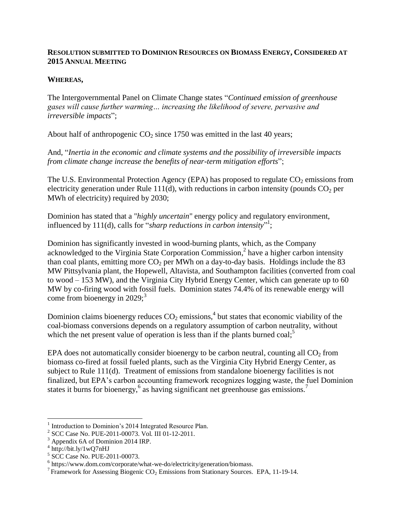### **RESOLUTION SUBMITTED TO DOMINION RESOURCES ON BIOMASS ENERGY, CONSIDERED AT 2015 ANNUAL MEETING**

### **WHEREAS,**

The Intergovernmental Panel on Climate Change states "*Continued emission of greenhouse gases will cause further warming… increasing the likelihood of severe, pervasive and irreversible impacts*";

About half of anthropogenic  $CO<sub>2</sub>$  since 1750 was emitted in the last 40 years;

And, "*Inertia in the economic and climate systems and the possibility of irreversible impacts from climate change increase the benefits of near-term mitigation efforts*";

The U.S. Environmental Protection Agency (EPA) has proposed to regulate  $CO<sub>2</sub>$  emissions from electricity generation under Rule 111(d), with reductions in carbon intensity (pounds  $CO<sub>2</sub>$  per MWh of electricity) required by 2030;

Dominion has stated that a "*highly uncertain*" energy policy and regulatory environment, influenced by 111(d), calls for "*sharp reductions in carbon intensity*"<sup>1</sup>;

Dominion has significantly invested in wood-burning plants, which, as the Company acknowledged to the Virginia State Corporation Commission, 2 have a higher carbon intensity than coal plants, emitting more  $CO<sub>2</sub>$  per MWh on a day-to-day basis. Holdings include the 83 MW Pittsylvania plant, the Hopewell, Altavista, and Southampton facilities (converted from coal to wood – 153 MW), and the Virginia City Hybrid Energy Center, which can generate up to 60 MW by co-firing wood with fossil fuels. Dominion states 74.4% of its renewable energy will come from bioenergy in 2029; 3

Dominion claims bioenergy reduces  $CO_2$  emissions,<sup>4</sup> but states that economic viability of the coal-biomass conversions depends on a regulatory assumption of carbon neutrality, without which the net present value of operation is less than if the plants burned  $\cosh^5$ ;

EPA does not automatically consider bioenergy to be carbon neutral, counting all  $CO<sub>2</sub>$  from biomass co-fired at fossil fueled plants, such as the Virginia City Hybrid Energy Center, as subject to Rule 111(d). Treatment of emissions from standalone bioenergy facilities is not finalized, but EPA's carbon accounting framework recognizes logging waste, the fuel Dominion states it burns for bioenergy,<sup>6</sup> as having significant net greenhouse gas emissions.<sup>7</sup>

 $\overline{a}$ 

<sup>1</sup> Introduction to Dominion's 2014 Integrated Resource Plan.

<sup>2</sup> SCC Case No. PUE-2011-00073. Vol. III 01-12-2011.

<sup>&</sup>lt;sup>3</sup> Appendix 6A of Dominion 2014 IRP.

 $4 \text{ http://bit.ly/1wQ7nHJ}$ 

<sup>5</sup> SCC Case No. PUE-2011-00073.

<sup>&</sup>lt;sup>6</sup> https://www.dom.com/corporate/what-we-do/electricity/generation/biomass.

<sup>&</sup>lt;sup>7</sup> Framework for Assessing Biogenic CO<sub>2</sub> Emissions from Stationary Sources. EPA, 11-19-14.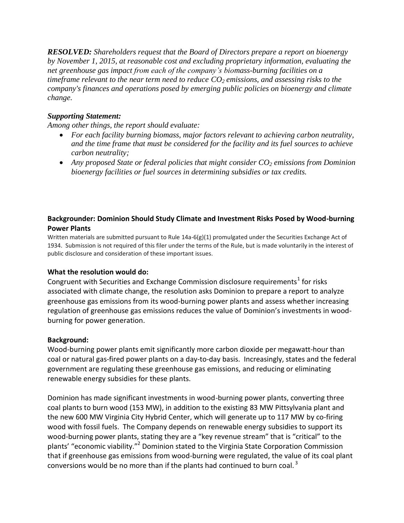*RESOLVED: Shareholders request that the Board of Directors prepare a report on bioenergy by November 1, 2015, at reasonable cost and excluding proprietary information, evaluating the net greenhouse gas impact from each of the company's biomass-burning facilities on a timeframe relevant to the near term need to reduce CO<sup>2</sup> emissions, and assessing risks to the company's finances and operations posed by emerging public policies on bioenergy and climate change.*

# *Supporting Statement:*

*Among other things, the report should evaluate:* 

- *For each facility burning biomass, major factors relevant to achieving carbon neutrality, and the time frame that must be considered for the facility and its fuel sources to achieve carbon neutrality;*
- *Any proposed State or federal policies that might consider CO<sup>2</sup> emissions from Dominion bioenergy facilities or fuel sources in determining subsidies or tax credits.*

# **Backgrounder: Dominion Should Study Climate and Investment Risks Posed by Wood-burning Power Plants**

Written materials are submitted pursuant to Rule 14a-6(g)(1) promulgated under the Securities Exchange Act of 1934. Submission is not required of this filer under the terms of the Rule, but is made voluntarily in the interest of public disclosure and consideration of these important issues.

#### **What the resolution would do:**

Congruent with Securities and Exchange Commission disclosure requirements<sup>1</sup> for risks associated with climate change, the resolution asks Dominion to prepare a report to analyze greenhouse gas emissions from its wood-burning power plants and assess whether increasing regulation of greenhouse gas emissions reduces the value of Dominion's investments in woodburning for power generation.

#### **Background:**

Wood-burning power plants emit significantly more carbon dioxide per megawatt-hour than coal or natural gas-fired power plants on a day-to-day basis. Increasingly, states and the federal government are regulating these greenhouse gas emissions, and reducing or eliminating renewable energy subsidies for these plants.

Dominion has made significant investments in wood-burning power plants, converting three coal plants to burn wood (153 MW), in addition to the existing 83 MW Pittsylvania plant and the new 600 MW Virginia City Hybrid Center, which will generate up to 117 MW by co-firing wood with fossil fuels. The Company depends on renewable energy subsidies to support its wood-burning power plants, stating they are a "key revenue stream" that is "critical" to the plants' "economic viability."<sup>2</sup> Dominion stated to the Virginia State Corporation Commission that if greenhouse gas emissions from wood-burning were regulated, the value of its coal plant conversions would be no more than if the plants had continued to burn coal.<sup>3</sup>